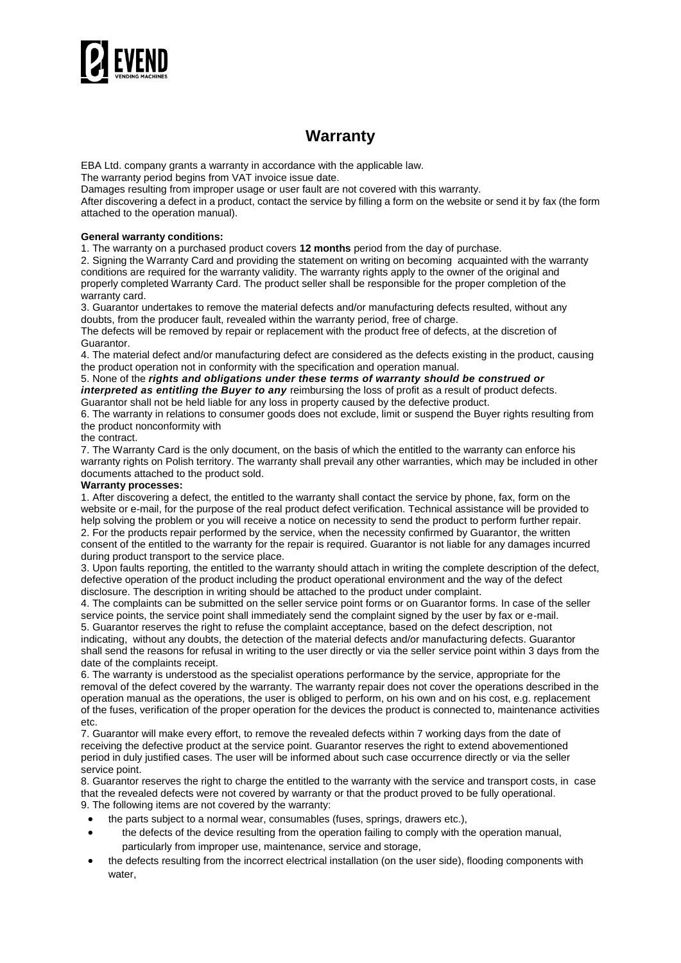

# **Warranty**

EBA Ltd. company grants a warranty in accordance with the applicable law.

The warranty period begins from VAT invoice issue date.

Damages resulting from improper usage or user fault are not covered with this warranty.

After discovering a defect in a product, contact the service by filling a form on the website or send it by fax (the form attached to the operation manual).

## **General warranty conditions:**

1. The warranty on a purchased product covers **12 months** period from the day of purchase.

2. Signing the Warranty Card and providing the statement on writing on becoming acquainted with the warranty conditions are required for the warranty validity. The warranty rights apply to the owner of the original and properly completed Warranty Card. The product seller shall be responsible for the proper completion of the warranty card.

3. Guarantor undertakes to remove the material defects and/or manufacturing defects resulted, without any doubts, from the producer fault, revealed within the warranty period, free of charge.

The defects will be removed by repair or replacement with the product free of defects, at the discretion of Guarantor.

4. The material defect and/or manufacturing defect are considered as the defects existing in the product, causing the product operation not in conformity with the specification and operation manual.

5. None of the *rights and obligations under these terms of warranty should be construed or interpreted as entitling the Buyer to any* reimbursing the loss of profit as a result of product defects.

Guarantor shall not be held liable for any loss in property caused by the defective product.

6. The warranty in relations to consumer goods does not exclude, limit or suspend the Buyer rights resulting from the product nonconformity with

#### the contract.

7. The Warranty Card is the only document, on the basis of which the entitled to the warranty can enforce his warranty rights on Polish territory. The warranty shall prevail any other warranties, which may be included in other documents attached to the product sold.

### **Warranty processes:**

1. After discovering a defect, the entitled to the warranty shall contact the service by phone, fax, form on the website or e-mail, for the purpose of the real product defect verification. Technical assistance will be provided to help solving the problem or you will receive a notice on necessity to send the product to perform further repair. 2. For the products repair performed by the service, when the necessity confirmed by Guarantor, the written consent of the entitled to the warranty for the repair is required. Guarantor is not liable for any damages incurred during product transport to the service place.

3. Upon faults reporting, the entitled to the warranty should attach in writing the complete description of the defect, defective operation of the product including the product operational environment and the way of the defect disclosure. The description in writing should be attached to the product under complaint.

4. The complaints can be submitted on the seller service point forms or on Guarantor forms. In case of the seller service points, the service point shall immediately send the complaint signed by the user by fax or e-mail.

5. Guarantor reserves the right to refuse the complaint acceptance, based on the defect description, not indicating, without any doubts, the detection of the material defects and/or manufacturing defects. Guarantor shall send the reasons for refusal in writing to the user directly or via the seller service point within 3 days from the date of the complaints receipt.

6. The warranty is understood as the specialist operations performance by the service, appropriate for the removal of the defect covered by the warranty. The warranty repair does not cover the operations described in the operation manual as the operations, the user is obliged to perform, on his own and on his cost, e.g. replacement of the fuses, verification of the proper operation for the devices the product is connected to, maintenance activities etc.

7. Guarantor will make every effort, to remove the revealed defects within 7 working days from the date of receiving the defective product at the service point. Guarantor reserves the right to extend abovementioned period in duly justified cases. The user will be informed about such case occurrence directly or via the seller service point.

8. Guarantor reserves the right to charge the entitled to the warranty with the service and transport costs, in case that the revealed defects were not covered by warranty or that the product proved to be fully operational. 9. The following items are not covered by the warranty:

- the parts subject to a normal wear, consumables (fuses, springs, drawers etc.),
- the defects of the device resulting from the operation failing to comply with the operation manual, particularly from improper use, maintenance, service and storage,
- the defects resulting from the incorrect electrical installation (on the user side), flooding components with water,